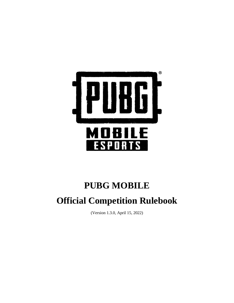

# **PUBG MOBILE**

# **Official Competition Rulebook**

(Version 1.3.0, April 15, 2022)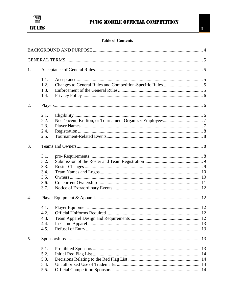

### **Table of Contents**

| 1.               |      |  |
|------------------|------|--|
|                  | 1.1. |  |
|                  | 1.2. |  |
|                  | 1.3. |  |
|                  | 1.4. |  |
| 2.               |      |  |
|                  | 2.1. |  |
|                  | 2.2. |  |
|                  | 2.3. |  |
|                  | 2.4. |  |
|                  | 2.5. |  |
| 3.               |      |  |
|                  | 3.1. |  |
|                  | 3.2. |  |
|                  | 3.3. |  |
|                  | 3.4. |  |
|                  | 3.5. |  |
|                  | 3.6. |  |
|                  | 3.7. |  |
| $\overline{4}$ . |      |  |
|                  | 4.1. |  |
|                  | 4.2. |  |
|                  | 4.3. |  |
|                  | 4.4. |  |
|                  | 4.5. |  |
| 5.               |      |  |
|                  | 5.1. |  |
|                  | 5.2. |  |
|                  | 5.3. |  |
|                  | 5.4. |  |
|                  | 5.5. |  |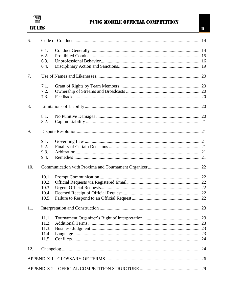

### PUBG MOBILE OFFICIAL COMPETITION

| 6.  |       |  |
|-----|-------|--|
|     | 6.1.  |  |
|     | 6.2.  |  |
|     | 6.3.  |  |
|     | 6.4.  |  |
| 7.  |       |  |
|     | 7.1.  |  |
|     | 7.2.  |  |
|     | 7.3.  |  |
| 8.  |       |  |
|     | 8.1.  |  |
|     | 8.2.  |  |
| 9.  |       |  |
|     | 9.1.  |  |
|     | 9.2.  |  |
|     | 9.3.  |  |
|     | 9.4.  |  |
| 10. |       |  |
|     | 10.1. |  |
|     | 10.2. |  |
|     | 10.3. |  |
|     | 10.4. |  |
|     | 10.5. |  |
| 11. |       |  |
|     | 11.1. |  |
|     | 11.2. |  |
|     | 11.3. |  |
|     | 11.4. |  |
|     | 11.5. |  |
| 12. |       |  |
|     |       |  |
|     |       |  |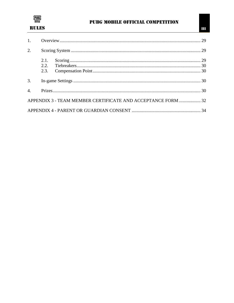

### PUBG MOBILE OFFICIAL COMPETITION

| $\overline{2}$ . |      |                                                              |  |
|------------------|------|--------------------------------------------------------------|--|
|                  | 2.1. |                                                              |  |
|                  | 2.2  |                                                              |  |
|                  | 2.3. |                                                              |  |
| 3.               |      |                                                              |  |
| $\overline{4}$ . |      |                                                              |  |
|                  |      | APPENDIX 3 - TEAM MEMBER CERTIFICATE AND ACCEPTANCE FORM  32 |  |
|                  |      |                                                              |  |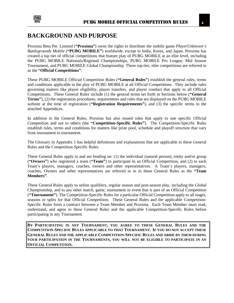

### <span id="page-4-0"></span>**BACKGROUND AND PURPOSE**

Proxima Beta Pte. Limited (**"Proxima"**) owns the rights to distribute the mobile game *PlayerUnknown's Battlegrounds Mobile* (**"PUBG MOBILE"**) worldwide, except in India, Korea, and Japan. Proxima has created a top tier of official competitions that feature play of PUBG MOBILE at an elite level, including the PUBG MOBILE Nationals/Regional Championships, PUBG MOBILE Pro League, Mid Season Tournament, and PUBG MOBILE Global Championship These top-tier, elite competitions are referred to as the **"Official Competitions"**.

These PUBG MOBILE Official Competition Rules (**"General Rules"**) establish the general rules, terms and conditions applicable to the play of PUBG MOBILE at all Official Competitions. They include rules governing matters like player eligibility, player transfers, and player conduct that apply to all Official Competitions. These General Rules include (1) the general terms set forth in Sections below (**"General Terms"**), (2) the registration procedures, requirements and rules that are displayed on the PUBG MOBILE website at the time of registration (**"Registration Requirements"**), and (3) the specific terms in the attached Appendices.

In addition to the General Rules, Proxima has also issued rules that apply to one specific Official Competition and not to others (the **"Competition-Specific Rules"**). The Competition-Specific Rules establish rules, terms and conditions for matters like prize pool, schedule and playoff structure that vary from tournament to tournament.

The Glossary in Appendix 1 has helpful definitions and explanations that are applicable to these General Rules and the Competition-Specific Rules.

These General Rules apply to and are binding on: (1) the individual (natural person), entity and/or group (**"Owners"**) who registered a team (**"Team"**) to participate in an Official Competition, and (2) to each Team's players, managers, coaches, owners and other representatives. A Team's players, managers, coaches, Owners and other representatives are referred to in in these General Rules as the **"Team Members"**.

These General Rules apply to online qualifiers, regular season and post-season play, including the Global Championship, and to any other match, game, tournament or event that is part of an Official Competition (**"Tournament"**). The Competition-Specific Rules for a particular Official Competition apply to all stages, seasons or splits for that Official Competition. These General Rules and the applicable Competition-Specific Rules form a contract between a Team Member and Proxima. Each Team Member must read, understand, and agree to these General Rules and the applicable Competition-Specific Rules before participating in any Tournament.

**BY PARTICIPATING IN ANY TOURNAMENT, YOU AGREE TO THESE GENERAL RULES AND THE COMPETITION-SPECIFIC RULES APPLICABLE TO THAT TOURNAMENT. IF YOU DO NOT ACCEPT THESE GENERAL RULES AND THE APPLICABLE COMPETITION-SPECIFIC RULES AND ABIDE BY THEM DURING YOUR PARTICIPATION IN THE TOURNAMENTS, YOU WILL NOT BE ELIGIBLE TO PARTICIPATE IN AN OFFICIAL COMPETITION.**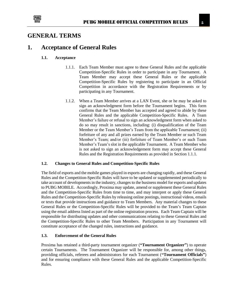

### <span id="page-5-0"></span>**GENERAL TERMS**

# <span id="page-5-2"></span><span id="page-5-1"></span>**1. Acceptance of General Rules**

### **1.1. Acceptance**

- 1.1.1. Each Team Member must agree to these General Rules and the applicable Competition-Specific Rules in order to participate in any Tournament. A Team Member may accept these General Rules or the applicable Competition-Specific Rules by registering to participate in an Official Competition in accordance with the Registration Requirements or by participating in any Tournament.
- 1.1.2. When a Team Member arrives at a LAN Event, she or he may be asked to sign an acknowledgment form before the Tournament begins. This form confirms that the Team Member has accepted and agreed to abide by these General Rules and the applicable Competition-Specific Rules. A Team Member's failure or refusal to sign an acknowledgment form when asked to do so may result in sanctions, including: (i) disqualification of the Team Member or the Team Member's Team from the applicable Tournament; (ii) forfeiture of any and all prizes earned by the Team Member or such Team Member's Team; and/or (iii) forfeiture of Team Member's or such Team Member's Team's slot in the applicable Tournament. A Team Member who is not asked to sign an acknowledgement form may accept these General Rules and the Registration Requirements as provided in Section 1.1.1.

#### <span id="page-5-3"></span>**1.2. Changes to General Rules and Competition-Specific Rules**

The field of esports and the mobile games played in esports are changing rapidly, and these General Rules and the Competition-Specific Rules will have to be updated or supplemented periodically to take account of developments in the industry, changes to the business model for esports and updates to PUBG MOBILE. Accordingly, Proxima may update, amend or supplement these General Rules and the Competition-Specific Rules from time to time, and may interpret or apply these General Rules and the Competition-Specific Rules by releasing online postings, instructional videos, emails or texts that provide instructions and guidance to Team Members. Any material changes to these General Rules or the Competition-Specific Rules will be provided to the Team's Team Captain using the email address listed as part of the online registration process. Each Team Captain will be responsible for distributing updates and other communications relating to these General Rules and the Competition-Specific Rules to other Team Members. Participation in any Tournament will constitute acceptance of the changed rules, instructions and guidance.

### <span id="page-5-4"></span>**1.3. Enforcement of the General Rules**

Proxima has retained a third-party tournament organizer (**"Tournament Organizer"**) to operate certain Tournaments. The Tournament Organizer will be responsible for, among other things, providing officials, referees and administrators for each Tournament (**"Tournament Officials"**) and for ensuring compliance with these General Rules and the applicable Competition-Specific Rules.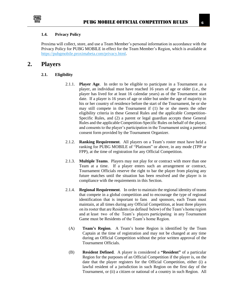

#### <span id="page-6-0"></span>**1.4. Privacy Policy**

Proxima will collect, store, and use a Team Member's personal information in accordance with the Privacy Policy for PUBG MOBILE in effect for the Team Member's Region, which is available at [https://pubgmobile.proximabeta.com/privacy.html.](https://pubgmobile.proximabeta.com/privacy.html)

### <span id="page-6-2"></span><span id="page-6-1"></span>**2. Players**

#### **2.1. Eligibility**

- 2.1.1. **Player Age**. In order to be eligible to participate in a Tournament as a player, an individual must have reached 16 years of age or older (i.e., the player has lived for at least 16 calendar years) as of the Tournament start date. If a player is 16 years of age or older but under the age of majority in his or her country of residence before the start of the Tournament, he or she may still compete in the Tournament if (1) he or she meets the other eligibility criteria in these General Rules and the applicable Competition-Specific Rules, and (2) a parent or legal guardian accepts these General Rules and the applicable Competition-Specific Rules on behalf of the player, and consents to the player's participation in the Tournament using a parental consent form provided by the Tournament Organizer.
- 2.1.2. **Ranking Requirement**. All players on a Team's roster must have held a ranking for PUBG MOBILE of "Platinum" or above, in any mode (TPP or FPP), at the time of registration for any Official Competition.
- 2.1.3. **Multiple Teams**. Players may not play for or contract with more than one Team at a time. If a player enters such an arrangement or contract, Tournament Officials reserve the right to bar the player from playing any future matches until the situation has been resolved and the player is in compliance with the requirements in this Section.
- 2.1.4. **Regional Requirement**. In order to maintain the regional identity of teams that compete in a global competition and to encourage the type of regional identification that is important to fans and sponsors, each Team must maintain, at all times during any Official Competition, at least three players on its roster that are Residents (as defined below) of the Team's home region and at least two of the Team's players participating in any Tournament Game must be Residents of the Team's home Region.
	- (A) **Team's Region**. A Team's home Region is identified by the Team Captain at the time of registration and may not be changed at any time during an Official Competition without the prior written approval of the Tournament Officials.
	- (B) **Resident Defined**. A player is considered a **"Resident"** of a particular Region for the purposes of an Official Competition if the player is, on the date that the player registers for the Official Competition, either (i) a lawful resident of a jurisdiction in such Region on the first day of the Tournament, or (ii) a citizen or national of a country in such Region. All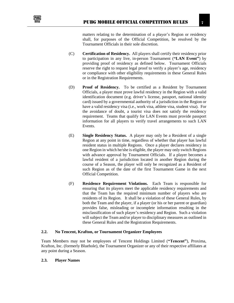

matters relating to the determination of a player's Region or residency shall, for purposes of the Official Competition, be resolved by the Tournament Officials in their sole discretion.

- (C) **Certification of Residency.** All players shall certify their residency prior to participation in any live, in-person Tournament (**"LAN Event"**) by providing proof of residency as defined below. Tournament Officials reserve the right to request legal proof to verify a player's age, residency or compliance with other eligibility requirements in these General Rules or in the Registration Requirements.
- (D) **Proof of Residency.** To be certified as a Resident by Tournament Officials, a player must prove lawful residency in the Region with a valid identification document (e.g. driver's license, passport, national identity card) issued by a governmental authority of a jurisdiction in the Region or have a valid residency visa (i.e., work visa, athlete visa, student visa). For the avoidance of doubt, a tourist visa does not satisfy the residency requirement. Teams that qualify for LAN Events must provide passport information for all players to verify travel arrangements to such LAN Events.
- (E) **Single Residency Status.** A player may only be a Resident of a single Region at any point in time, regardless of whether that player has lawful resident status in multiple Regions. Once a player declares residency in one Region in which he/she is eligible, the player may only switch Regions with advance approval by Tournament Officials. If a player becomes a lawful resident of a jurisdiction located in another Region during the course of a Season, the player will only be recognized as a Resident of such Region as of the date of the first Tournament Game in the next Official Competition.
- (F) **Residence Requirement Violations.** Each Team is responsible for ensuring that its players meet the applicable residency requirements and that the Team has the required minimum number of players who are residents of its Region. It shall be a violation of these General Rules, by both the Team and the player, if a player (or his or her parent or guardian) provides false, misleading or incomplete information resulting in the misclassification of such player's residency and Region. Such a violation will subject the Team and/or player to disciplinary measures as outlined in these General Rules and the Registration Requirements.

### <span id="page-7-0"></span>**2.2. No Tencent, Krafton, or Tournament Organizer Employees**

Team Members may not be employees of Tencent Holdings Limited (**"Tencent"**), Proxima, Krafton, Inc. (formerly Bluehole), the Tournament Organizer or any of their respective affiliates at any point during a Season.

#### <span id="page-7-1"></span>**2.3. Player Names**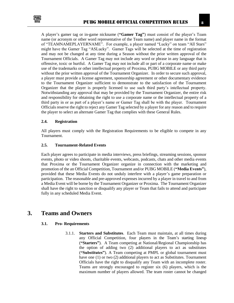

A player's gamer tag or in-game nickname (**"Gamer Tag"**) must consist of the player's Team name (or acronym or other word representative of the Team name) and player name in the format of "TEAMNAMEPLAYERNAME". For example, a player named "Lucky" on team "All Stars" might have the Gamer Tag "ASLucky". Gamer Tags will be selected at the time of registration and may not be changed at any time during a Season without the prior written approval of the Tournament Officials. A Gamer Tag may not include any word or phrase in any language that is offensive, toxic or hurtful. A Gamer Tag may not include all or part of a corporate name or make use of the trademarks or other intellectual property of Proxima, PUBG MOBILE or any third party without the prior written approval of the Tournament Organizer. In order to secure such approval, a player must provide a license agreement, sponsorship agreement or other documentary evidence to the Tournament Organizer sufficient to demonstrate to the satisfaction of the Tournament Organizer that the player is properly licensed to use such third party's intellectual property. Notwithstanding any approval that may be provided by the Tournament Organizer, the entire risk and responsibility for obtaining the right to use a corporate name or the intellectual property of a third party in or as part of a player's name or Gamer Tag shall be with the player. Tournament Officials reserve the right to reject any Gamer Tag selected by a player for any reason and to require

### <span id="page-8-0"></span>**2.4. Registration**

All players must comply with the Registration Requirements to be eligible to compete in any Tournament.

the player to select an alternate Gamer Tag that complies with these General Rules.

#### <span id="page-8-1"></span>**2.5. Tournament-Related Events**

Each player agrees to participate in media interviews, press briefings, streaming sessions, sponsor events, photo or video shoots, charitable events, webcasts, podcasts, chats and other media events that Proxima or the Tournament Organizer organize in connection with the marketing and promotion of the an Official Competition, Tournament and/or PUBG MOBILE (**"Media Events"**), provided that these Media Events do not unduly interfere with a player's game preparation or participation. The reasonable and pre-approved expenses incurred by a player in travel to and from a Media Event will be borne by the Tournament Organizer or Proxima. The Tournament Organizer shall have the right to sanction or disqualify any player or Team that fails to attend and participate fully in any scheduled Media Event.

### <span id="page-8-3"></span><span id="page-8-2"></span>**3. Teams and Owners**

#### **3.1. Pro- Requirements**

3.1.1. **Starters and Substitutes**. Each Team must maintain, at all times during any Official Competition, four players in the Team's starting lineup (**"Starters"**). A Team competing at National/Regional Championship has the option of adding two (2) additional players to act as substitutes (**"Substitutes"**). A Team competing at PMPL or global tournament must have one (1) or two (2) additional players to act as Substitutes. Tournament Officials have the right to disqualify any Team with an incomplete roster. Teams are strongly encouraged to register six (6) players, which is the maximum number of players allowed. The team roster cannot be changed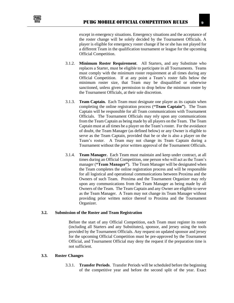

the roster change will be solely decided by the Tournament Officials. A player is eligible for emergency roster change if he or she has not played for a different Team in the qualification tournament or league for the upcoming Official Competition.

- 3.1.2. **Minimum Roster Requirement**. All Starters, and any Substitute who replaces a Starter, must be eligible to participate in all Tournaments. Teams must comply with the minimum roster requirement at all times during any Official Competition. If at any point a Team's roster falls below the minimum roster size, that Team may be disqualified or otherwise sanctioned, unless given permission to drop below the minimum roster by the Tournament Officials, at their sole discretion.
- 3.1.3. **Team Captain.** Each Team must designate one player as its captain when completing the online registration process (**"Team Captain"**). The Team Captain will be responsible for all Team communications with Tournament Officials. The Tournament Officials may rely upon any communications from the Team Captain as being made by all players on the Team. The Team Captain must at all times be a player on the Team's roster. For the avoidance of doubt, the Team Manager (as defined below) or any Owner is eligible to serve as the Team Captain, provided that he or she is also a player on the Team's roster. A Team may not change its Team Captain during a Tournament without the prior written approval of the Tournament Officials.
- 3.1.4. **Team Manager.** Each Team must maintain and keep under contract, at all times during an Official Competition, one person who will act as the Team's manager (**"Team Manager"**). The Team Manager will be designated when the Team completes the online registration process and will be responsible for all logistical and operational communications between Proxima and the Owners of such Team. Proxima and the Tournament Organizer may rely upon any communications from the Team Manager as being made by all Owners of the Team. The Team Captain and any Owner are eligible to serve as the Team Manager. A Team may not change its Team Manager without providing prior written notice thereof to Proxima and the Tournament Organizer.

### <span id="page-9-0"></span>**3.2. Submission of the Roster and Team Registration**

Before the start of any Official Competition, each Team must register its roster (including all Starters and any Substitutes), sponsor, and jersey using the tools provided by the Tournament Officials. Any request on updated sponsor and jersey for the upcoming Official Competition must be pre-approved by the Tournament Official, and Tournament Official may deny the request if the preparation time is not sufficient.

#### <span id="page-9-1"></span>**3.3. Roster Changes**

3.3.1. **Transfer Periods**. Transfer Periods will be scheduled before the beginning of the competitive year and before the second split of the year. Exact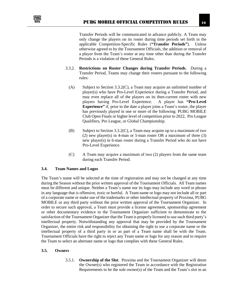

Transfer Periods will be communicated in advance publicly. A Team may only change the players on its roster during time periods set forth in the applicable Competition-Specific Rules (**"Transfer Periods"**). Unless otherwise agreed to by the Tournament Officials, the addition or removal of a player from the Team's roster at any time other than during the Transfer Periods is a violation of these General Rules.

- 3.3.2. **Restrictions on Roster Changes during Transfer Periods**. During a Transfer Period, Teams may change their rosters pursuant to the following rules:
	- (A) Subject to Section 3.3.2(C), a Team may acquire an unlimited number of player(s) who have Pro-Level Experience during a Transfer Period, and may even replace all of the players on its then-current roster with new players having Pro-Level Experience. A player has **"Pro-Level Experience"** if, prior to the date a player joins a Team's roster, the player has previously played in one or more of the following: PUBG MOBILE Club Open Finals or higher level of competition prior to 2022, Pro League Qualifiers, Pro League, or Global Championship.
	- (B) Subject to Section 3.3.2(C), a Team may acquire up to a maximum of two (2) new player(s) in 4-man or 5-man roster OR a maximum of three (3) new player(s) in 6-man roster during a Transfer Period who do not have Pro-Level Experience.
	- (C) A Team may acquire a maximum of two (2) players from the same team during each Transfer Period.

#### <span id="page-10-0"></span>**3.4. Team Names and Logos**

The Team's name will be selected at the time of registration and may not be changed at any time during the Season without the prior written approval of the Tournament Officials. All Team names must be different and unique. Neither a Team's name nor its logo may include any word or phrase in any language that is offensive, toxic or hurtful. A Team name or logo may not include all or part of a corporate name or make use of the trademarks or other intellectual property of Proxima, PUBG MOBILE or any third party without the prior written approval of the Tournament Organizer. In order to secure such approval, a Team must provide a license agreement, sponsorship agreement or other documentary evidence to the Tournament Organizer sufficient to demonstrate to the satisfaction of the Tournament Organizer that the Team is properly licensed to use such third party's intellectual property. Notwithstanding any approval that may be provided by the Tournament Organizer, the entire risk and responsibility for obtaining the right to use a corporate name or the intellectual property of a third party in or as part of a Team name shall be with the Team. Tournament Officials have the right to reject any Team name or logo for any reason and to require the Team to select an alternate name or logo that complies with these General Rules.

#### <span id="page-10-1"></span>**3.5. Owners**

3.5.1. **Ownership of the Slot**. Proxima and the Tournament Organizer will deem the Owner(s) who registered the Team in accordance with the Registration Requirements to be the sole owner(s) of the Team and the Team's slot in an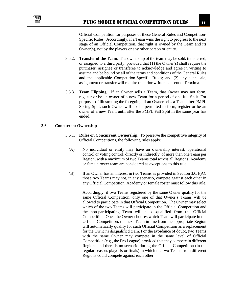

Official Competition for purposes of these General Rules and Competition-Specific Rules. Accordingly, if a Team wins the right to progress to the next stage of an Official Competition, that right is owned by the Team and its Owner(s), not by the players or any other person or entity.

- 3.5.2. **Transfer of the Team**. The ownership of the team may be sold, transferred, or assigned to a third party; provided that (1) the Owner(s) shall require the purchaser, assignee or transferee to acknowledge and agree in writing to assume and be bound by all of the terms and conditions of the General Rules and the applicable Competition-Specific Rules; and (2) any such sale, assignment or transfer will require the prior written consent of Proxima.
- 3.5.3. **Team Flipping.** If an Owner sells a Team, that Owner may not form, register or be an owner of a new Team for a period of one full Split. For purposes of illustrating the foregoing, if an Owner sells a Team after PMPL Spring Split, such Owner will not be permitted to form, register or be an owner of a new Team until after the PMPL Fall Split in the same year has ended.

#### <span id="page-11-0"></span>**3.6. Concurrent Ownership**

- 3.6.1. **Rules on Concurrent Ownership**. To preserve the competitive integrity of Official Competitions, the following rules apply:
	- (A) No individual or entity may have an ownership interest, operational control or voting control, directly or indirectly, of more than one Team per Region, with a maximum of two Teams total across all Regions. Academy or female roster team are considered as exceptions to this rule.
	- (B) If an Owner has an interest in two Teams as provided in Section 3.6.1(A), those two Teams may not, in any scenario, compete against each other in any Official Competition. Academy or female roster must follow this rule.

Accordingly, if two Teams registered by the same Owner qualify for the same Official Competition, only one of that Owner's Teams will be allowed to participate in that Official Competition. The Owner may select which of the two Teams will participate in the Official Competition and the non-participating Team will be disqualified from the Official Competition. Once the Owner chooses which Team will participate in the Official Competition, the next Team in line from the appropriate Region will automatically qualify for such Official Competition as a replacement for the Owner's disqualified team. For the avoidance of doubt, two Teams with the same Owner may compete in the same level of Official Competition (e.g., the Pro League) provided that they compete in different Regions and there is no scenario during the Official Competition (in the regular season, playoffs or finals) in which the two Teams from different Regions could compete against each other.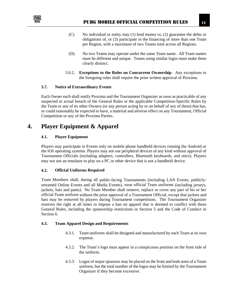

- (C) No individual or entity may (1) lend money to, (2) guarantee the debts or obligations of, or (3) participate in the financing of more than one Team per Region, with a maximum of two Teams total across all Regions.
- (D) No two Teams may operate under the same Team name. All Team names must be different and unique. Teams using similar logos must make them clearly distinct.
- 3.6.2. **Exceptions to the Rules on Concurrent Ownership**. Any exceptions to the foregoing rules shall require the prior written approval of Proxima.

### <span id="page-12-0"></span>**3.7. Notice of Extraordinary Events**

Each Owner each shall notify Proxima and the Tournament Organizer as soon as practicable of any suspected or actual breach of the General Rules or the applicable Competition-Specific Rules by the Team or any of its other Owners (or any person acting by or on behalf of any of them) that has, or could reasonably be expected to have, a material and adverse effect on any Tournament, Official Competition or any of the Proxima Parties.

### <span id="page-12-2"></span><span id="page-12-1"></span>**4. Player Equipment & Apparel**

### **4.1. Player Equipment**

Players may participate in Events only on mobile phone handheld devices running the Android or the iOS operating systems. Players may not use peripheral devices of any kind without approval of Tournament Officials (including adapters, controllers, Bluetooth keyboards, and mice). Players may not use an emulator to play on a PC or other device that is not a handheld device.

### <span id="page-12-3"></span>**4.2. Official Uniforms Required**

Team Members shall, during all public-facing Tournaments (including LAN Events, publiclystreamed Online Events and all Media Events), wear official Team uniforms (including jerseys, jackets, hats and pants). No Team Member shall remove, replace or cover any part of his or her official Team uniform without the prior approval of a Tournament Official, except that jackets and hats may be removed by players during Tournament competitions. The Tournament Organizer reserves the right at all times to impose a ban on apparel that is deemed to conflict with these General Rules, including the sponsorship restrictions in Section 5 and the Code of Conduct in Section 6.

#### <span id="page-12-4"></span>**4.3. Team Apparel Design and Requirements**

- 4.3.1. Team uniforms shall be designed and manufactured by each Team at its own expense.
- 4.3.2. The Team's logo must appear in a conspicuous position on the front side of the uniform.
- 4.3.3. Logos of major sponsors may be placed on the front and both arms of a Team uniform, but the total number of the logos may be limited by the Tournament Organizer if they become excessive.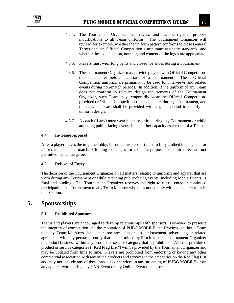

- 4.3.4. The Tournament Organizer will review and has the right to propose modifications to all Team uniforms. The Tournament Organizer will review, for example, whether the uniform pattern conforms to these General Terms and the Official Competition's minimum aesthetic standards; and whether the size, position, number, and content of the logos are appropriate.
- 4.3.5. Players must wear long pants and closed toe shoes during a Tournament.
- 4.3.6. The Tournament Organizer may provide players with Official Competitionthemed apparel before the start of a Tournament. These Official Competition uniforms are primarily to be used for interviews and related events during non-match periods. In addition, if the uniform of any Team does not conform to relevant design requirements of the Tournament Organizer, such Team may temporarily wear the Official Competitionprovided or Official Competition-themed apparel during a Tournament, and the relevant Team shall be provided with a grace period to modify its uniform design.
- 4.3.7. A coach (if any) must wear business attire during any Tournament or while attending public-facing events in his or her capacity as a coach of a Team.

### <span id="page-13-0"></span>**4.4. In-Game Apparel**

After a player leaves the in-game lobby, his or her avatar must remain fully clothed in the game for the remainder of the match. Clothing exchanges for cosmetic purposes or comic effect are not permitted inside the game.

### <span id="page-13-1"></span>**4.5. Refusal of Entry**

The decision of the Tournament Organizer on all matters relating to uniforms and apparel that are worn during any Tournament or while attending public-facing events, including Media Events, is final and binding. The Tournament Organizer reserves the right to refuse entry or continued participation in a Tournament to any Team Member who does not comply with the apparel rules in this Section.

## <span id="page-13-3"></span><span id="page-13-2"></span>**5. Sponsorships**

### **5.1. Prohibited Sponsors**

Teams and players are encouraged to develop relationships with sponsors. However, to preserve the integrity of competition and the reputation of PUBG MOBILE and Proxima, neither a Team nor any Team Members shall enter into any sponsorship, endorsement, advertising or related agreement with any person or entity that is determined by Proxima or the Tournament Organizer to conduct business within any product or service category that is prohibited. A list of prohibited product or service categories (**"Red Flag List"**) will be provided by the Tournament Organizer and may be updated from time to time. Players are prohibited from endorsing or having any other commercial association with any of the products and services in the categories on the Red Flag List and may not include any of these products or services in any streaming of PUBG MOBILE or on any apparel worn during any LAN Event or any Online Event that is streamed.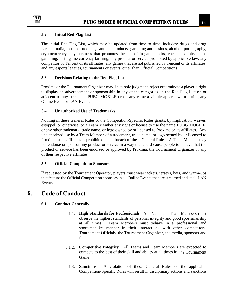

### <span id="page-14-0"></span>**5.2. Initial Red Flag List**

The initial Red Flag List, which may be updated from time to time, includes: drugs and drug paraphernalia, tobacco products, cannabis products, gambling and casinos, alcohol, pornography, cryptocurrency, any business that promotes the use of in-game hacks, cheats, exploits, skins gambling, or in-game currency farming; any product or service prohibited by applicable law, any competitor of Tencent or its affiliates, any games that are not published by Tencent or its affiliates, and any esports leagues, tournaments or events, other than Official Competitions.

### <span id="page-14-1"></span>**5.3. Decisions Relating to the Red Flag List**

Proxima or the Tournament Organizer may, in its sole judgment, reject or terminate a player's right to display an advertisement or sponsorship in any of the categories on the Red Flag List on or adjacent to any stream of PUBG MOBILE or on any camera-visible apparel worn during any Online Event or LAN Event.

### <span id="page-14-2"></span>**5.4. Unauthorized Use of Trademarks**

Nothing in these General Rules or the Competition-Specific Rules grants, by implication, waiver, estoppel, or otherwise, to a Team Member any right or license to use the name PUBG MOBILE, or any other trademark, trade name, or logo owned by or licensed to Proxima or its affiliates. Any unauthorized use by a Team Member of a trademark, trade name, or logo owned by or licensed to Proxima or its affiliates is prohibited and a breach of these General Rules. A Team Member may not endorse or sponsor any product or service in a way that could cause people to believe that the product or service has been endorsed or approved by Proxima, the Tournament Organizer or any of their respective affiliates.

#### <span id="page-14-3"></span>**5.5. Official Competition Sponsors**

If requested by the Tournament Operator, players must wear jackets, jerseys, hats, and warm-ups that feature the Official Competition sponsors in all Online Events that are streamed and at all LAN Events.

### <span id="page-14-5"></span><span id="page-14-4"></span>**6. Code of Conduct**

### **6.1. Conduct Generally**

- 6.1.1. **High Standards for Professionals**. All Teams and Team Members must observe the highest standards of personal integrity and good sportsmanship at all times. Team Members must behave in a professional and sportsmanlike manner in their interactions with other competitors, Tournament Officials, the Tournament Organizer, the media, sponsors and fans.
- 6.1.2. **Competitive Integrity**. All Teams and Team Members are expected to compete to the best of their skill and ability at all times in any Tournament Game.
- 6.1.3. **Sanctions**. A violation of these General Rules or the applicable Competition-Specific Rules will result in disciplinary actions and sanctions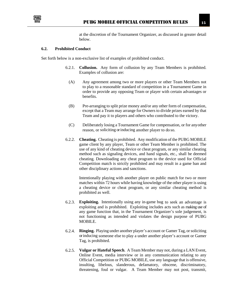

at the discretion of the Tournament Organizer, as discussed in greater detail below.

### <span id="page-15-0"></span>**6.2. Prohibited Conduct**

Set forth below is a non-exclusive list of examples of prohibited conduct.

- 6.2.1. **Collusion.** Any form of collusion by any Team Members is prohibited. Examples of collusion are:
	- (A) Any agreement among two or more players or other Team Members not to play to a reasonable standard of competition in a Tournament Game in order to provide any opposing Team or player with certain advantages or benefits.
	- (B) Pre-arranging to split prize money and/or any other form of compensation, except that a Team may arrange for Owners to divide prizes earned by that Team and pay it to players and others who contributed to the victory.
	- (C) Deliberately losing a Tournament Game for compensation, or for anyother reason, or soliciting or inducing another player to do so.
- 6.2.2. **Cheating.** Cheating is prohibited. Any modification of the PUBG MOBILE game client by any player, Team or other Team Member is prohibited. The use of any kind of cheating device or cheat program, or any similar cheating method such as signaling devices, and hand signals, etc., shall be deemed cheating. Downloading any cheat program to the device used for Official Competition match is strictly prohibited and may result in a game ban and other disciplinary actions and sanctions.

Intentionally playing with another player on public match for two or more matches within 72 hours while having knowledge of the other player is using a cheating device or cheat program, or any similar cheating method is prohibited as well.

- 6.2.3. **Exploiting.** Intentionally using any in-game bug to seek an advantage is exploiting and is prohibited. Exploiting includes acts such as making use of any game function that, in the Tournament Organizer's sole judgement, is not functioning as intended and violates the design purpose of PUBG MOBILE.
- 6.2.4. **Ringing.** Playing under another player's account or Gamer Tag, orsoliciting or inducing someone else to play a under another player's account or Gamer Tag, is prohibited.
- 6.2.5. **Vulgar or Hateful Speech**. A Team Member may not, during a LAN Event, Online Event, media interview or in any communication relating to any Official Competition or PUBG MOBILE, use any language that is offensive, insulting, libelous, slanderous, defamatory, obscene, discriminatory, threatening, foul or vulgar. A Team Member may not post, transmit,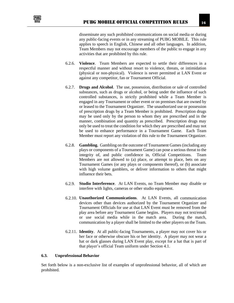

disseminate any such prohibited communications on social media or during any public-facing events or in any streaming of PUBG MOBILE. This rule applies to speech in English, Chinese and all other languages. In addition, Team Members may not encourage members of the public to engage in any activities that are prohibited by this rule.

- 6.2.6. **Violence**. Team Members are expected to settle their differences in a respectful manner and without resort to violence, threats, or intimidation (physical or non-physical). Violence is never permitted at LAN Event or against any competitor, fan or Tournament Official.
- 6.2.7. **Drugs and Alcohol**. The use, possession, distribution or sale of controlled substances, such as drugs or alcohol, or being under the influence of such controlled substances, is strictly prohibited while a Team Member is engaged in any Tournament or other event or on premises that are owned by or leased to the Tournament Organizer. The unauthorized use or possession of prescription drugs by a Team Member is prohibited. Prescription drugs may be used only by the person to whom they are prescribed and in the manner, combination and quantity as prescribed. Prescription drugs may only be used to treat the condition for which they are prescribed and may not be used to enhance performance in a Tournament Game. Each Team Member must report any violation of this rule to the Tournament Organizer.
- 6.2.8. **Gambling.** Gambling on the outcome of Tournament Games (including any plays or components of a Tournament Game) can pose a serious threat to the integrity of, and public confidence in, Official Competitions. Team Members are not allowed to (a) place, or attempt to place, bets on any Tournament Games (or any plays or components thereof), or (b) associate with high volume gamblers, or deliver information to others that might influence their bets.
- 6.2.9. **Studio Interference**. At LAN Events, no Team Member may disable or interfere with lights, cameras or other studio equipment.
- 6.2.10. **Unauthorized Communications**. At LAN Events, all communication devices other than devices authorized by the Tournament Organizer and Tournament Officials for use at that LAN Event must be removed from the play area before any Tournament Game begins. Players may not text/email or use social media while in the match area. During the match, communication by a player shall be limited to the other players on the Team.
- 6.2.11. **Identity**. At all public-facing Tournaments, a player may not cover his or her face or otherwise obscure his or her identity. A player may not wear a hat or dark glasses during LAN Event play, except for a hat that is part of that player's official Team uniform under Section 4.1.

#### <span id="page-16-0"></span>**6.3. Unprofessional Behavior**

Set forth below is a non-exclusive list of examples of unprofessional behavior, all of which are prohibited.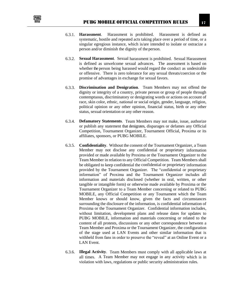

- 6.3.1. **Harassment**. Harassment is prohibited. Harassment is defined as systematic, hostile and repeated acts taking place over a period of time, or a singular egregious instance, which is/are intended to isolate or ostracize a person and/or diminish the dignity of the person.
- 6.3.2. **Sexual Harassment**. Sexual harassment is prohibited. Sexual Harassment is defined as unwelcome sexual advances. The assessment is based on whether the person being harassed would regard the conduct as undesirable or offensive. There is zero tolerance for any sexual threats/coercion or the promise of advantages in exchange for sexual favors.
- 6.3.3. **Discrimination and Denigration**. Team Members may not offend the dignity or integrity of a country, private person or group of people through contemptuous, discriminatory or denigrating words or actions on account of race, skin color, ethnic, national or social origin, gender, language, religion, political opinion or any other opinion, financial status, birth or any other status, sexual orientation or any other reason.
- 6.3.4. **Defamatory Statements**. Team Members may not make, issue, authorize or publish any statement that denigrates, disparages or defames any Official Competition, Tournament Organizer, Tournament Official, Proxima or its affiliates, sponsors, or PUBG MOBILE.
- 6.3.5. **Confidentiality**. Without the consent of the Tournament Organizer, a Team Member may not disclose any confidential or proprietary information provided or made available by Proxima or the Tournament Organizer to the Team Member in relation to any Official Competition. Team Members shall be obligated to keep confidential the confidential or proprietary information provided by the Tournament Organizer. The "confidential or proprietary information" of Proxima and the Tournament Organizer includes all information and materials disclosed (whether in oral, written, or other tangible or intangible form) or otherwise made available by Proxima or the Tournament Organizer to a Team Member concerning or related to PUBG MOBILE, any Official Competition or any Tournament which the Team Member knows or should know, given the facts and circumstances surrounding the disclosure of the information, is confidential information of Proxima or the Tournament Organizer. Confidential information includes, without limitation, development plans and release dates for updates to PUBG MOBILE, information and materials concerning or related to the content of all protests, discussions or any other correspondence between a Team Member and Proxima or the Tournament Organizer, the configuration of the stage used at LAN Events and other similar information that is withheld from fans in order to preserve the "reveal" at an Online Event or a LAN Event.
- 6.3.6. **Illegal Activity**. Team Members must comply with all applicable laws at all times. A Team Member may not engage in any activity which is in violation with laws, regulations or public security administration rules.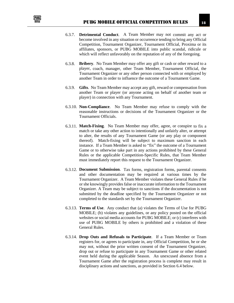

- 6.3.7. **Detrimental Conduct**. A Team Member may not commit any act or become involved in any situation or occurrence tending to bring any Official Competition, Tournament Organizer, Tournament Official, Proxima or its affiliates, sponsors, or PUBG MOBILE into public scandal, ridicule or which will reflect unfavorably on the reputation of any of the foregoing.
- 6.3.8. **Bribery**. No Team Member may offer any gift or cash or other reward to a player, coach, manager, other Team Member, Tournament Official, the Tournament Organizer or any other person connected with or employed by another Team in order to influence the outcome of a Tournament Game.
- 6.3.9. **Gifts**. No Team Member may accept any gift, reward or compensation from another Team or player (or anyone acting on behalf of another team or player) in connection with any Tournament.
- 6.3.10. **Non-Compliance**. No Team Member may refuse to comply with the reasonable instructions or decisions of the Tournament Organizer or the Tournament Officials.
- 6.3.11. **Match-Fixing**. No Team Member may offer, agree, or conspire to fix a match or take any other action to intentionally and unfairly alter, or attempt to alter, the results of any Tournament Game (or any play or component thereof). Match-fixing will be subject to maximum sanction in each instance. If a Team Member is asked to "fix" the outcome of a Tournament Game or to otherwise take part in any actions prohibited by these General Rules or the applicable Competition-Specific Rules, that Team Member must immediately report this request to the Tournament Organizer.
- 6.3.12. **Document Submission**. Tax forms, registration forms, parental consents and other documentation may be required at various times by the Tournament Organizer. A Team Member violates these General Rules if he or she knowingly provides false or inaccurate information to the Tournament Organizer. A Team may be subject to sanctions if the documentation is not submitted by the deadline specified by the Tournament Organizer or not completed to the standards set by the Tournament Organizer.
- 6.3.13. **Terms of Use**. Any conduct that (a) violates the Terms of Use for PUBG MOBILE; (b) violates any guidelines, or any policy posted on the official websites or social media accounts for PUBG MOBILE; or (c) interferes with use of PUBG MOBILE by others is prohibited and a violation of these General Rules.
- 6.3.14. **Drop Outs and Refusals to Participate**. If a Team Member or Team registers for, or agrees to participate in, any Official Competition, he or she may not, without the prior written consent of the Tournament Organizer, drop out or refuse to participate in any Tournament Game or other related event held during the applicable Season. An unexcused absence from a Tournament Game after the registration process is complete may result in disciplinary actions and sanctions, as provided in Section 6.4 below.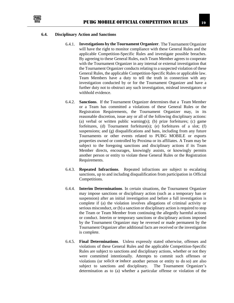

#### <span id="page-19-0"></span>**6.4. Disciplinary Action and Sanctions**

- 6.4.1. **Investigations by the Tournament Organizer**. The Tournament Organizer will have the right to monitor compliance with these General Rules and the applicable Competition-Specific Rules and investigate possible breaches. By agreeing to these General Rules, each Team Member agrees to cooperate with the Tournament Organizer in any internal or external investigation that the Tournament Organizer conducts relating to a suspected violation of these General Rules, the applicable Competition-Specific Rules or applicable law. Team Members have a duty to tell the truth in connection with any investigation conducted by or for the Tournament Organizer and have a further duty not to obstruct any such investigation, mislead investigators or withhold evidence.
- 6.4.2. **Sanctions**. If the Tournament Organizer determines that a Team Member or a Team has committed a violations of these General Rules or the Registration Requirements, the Tournament Organizer may, in its reasonable discretion, issue any or all of the following disciplinary actions: (a) verbal or written public warning(s); (b) prize forfeitures; (c) game forfeitures, (d) Tournament forfeiture(s); (e) forfeitures of a slot;  $(f)$ suspensions; and (g) disqualifications and bans, including from any future Tournaments or other events related to PUBG MOBILE or esports properties owned or controlled by Proxima or its affiliates. A Team may be subject to the foregoing sanctions and disciplinary actions if its Team Member directs, encourages, knowingly assists, or knowingly permits another person or entity to violate these General Rules or the Registration Requirements.
- 6.4.3. **Repeated Infractions**. Repeated infractions are subject to escalating sanctions, up to and including disqualification from participation in Official Competitions.
- 6.4.4. **Interim Determinations**. In certain situations, the Tournament Organizer may impose sanctions or disciplinary action (such as a temporary ban or suspension) after an initial investigation and before a full investigation is complete if (a) the violation involves allegations of criminal activity or serious misconduct, or (b) a sanction or disciplinary action is required to stop the Team or Team Member from continuing the allegedly harmful actions or conduct. Interim or temporary sanctions or disciplinary actions imposed by the Tournament Organizer may be reversed or made permanent by the Tournament Organizer after additional facts are received or the investigation is complete.
- 6.4.5. **Final Determinations**. Unless expressly stated otherwise, offenses and violations of these General Rules and the applicable Competition-Specific Rules are subject to sanctions and disciplinary actions, whether or not they were committed intentionally. Attempts to commit such offenses or violations (or solicit or induce another person or entity to do so) are also subject to sanctions and disciplinary. The Tournament Organizer's determination as to (a) whether a particular offense or violation of the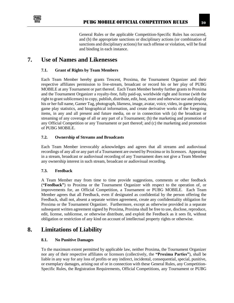

General Rules or the applicable Competition-Specific Rules has occurred, and (b) the appropriate sanctions or disciplinary actions (or combination of sanctions and disciplinary actions) for such offense or violation, will be final and binding in each instance.

### <span id="page-20-1"></span><span id="page-20-0"></span>**7. Use of Names and Likenesses**

### **7.1. Grant of Rights by Team Members**

Each Team Member hereby grants Tencent, Proxima, the Tournament Organizer and their respective affiliates permission to live-stream, broadcast or record his or her play of PUBG MOBILE at any Tournament or part thereof. Each Team Member hereby further grants to Proxima and the Tournament Organizer a royalty-free, fully paid-up, worldwide right and license (with the right to grant sublicenses) to copy, publish, distribute, edit, host, store and otherwise use and display his or her full name, Gamer Tag, photograph, likeness, image, avatar, voice, video, in-game persona, game play statistics, and biographical information, and create derivative works of the foregoing items, in any and all present and future media, on or in connection with (a) the broadcast or streaming of any coverage of all or any part of a Tournament; (b) the marketing and promotion of any Official Competition or any Tournament or part thereof; and (c) the marketing and promotion of PUBG MOBILE.

### <span id="page-20-2"></span>**7.2. Ownership of Streams and Broadcasts**

Each Team Member irrevocably acknowledges and agrees that all streams and audiovisual recordings of any all or any part of a Tournament are owned by Proxima or its licensors. Appearing in a stream, broadcast or audiovisual recording of any Tournament does not give a Team Member any ownership interest in such stream, broadcast or audiovisual recording.

#### <span id="page-20-3"></span>**7.3. Feedback**

A Team Member may from time to time provide suggestions, comments or other feedback (**"Feedback"**) to Proxima or the Tournament Organizer with respect to the operation of, or improvements for, an Official Competition, a Tournament or PUBG MOBILE. Each Team Member agrees that all Feedback, even if designated as confidential by the person offering the Feedback, shall not, absent a separate written agreement, create any confidentiality obligation for Proxima or the Tournament Organizer. Furthermore, except as otherwise provided in a separate subsequent written agreement signed by Proxima, Proxima shall be free to use, disclose, reproduce, edit, license, sublicense, or otherwise distribute, and exploit the Feedback as it sees fit, without obligation or restriction of any kind on account of intellectual property rights or otherwise.

### <span id="page-20-5"></span><span id="page-20-4"></span>**8. Limitations of Liability**

### **8.1. No Punitive Damages**

To the maximum extent permitted by applicable law, neither Proxima, the Tournament Organizer nor any of their respective affiliates or licensors (collectively, the **"Proxima Parties"**), shall be liable in any way for any loss of profits or any indirect, incidental, consequential, special, punitive, or exemplary damages, arising out of or in connection with these General Rules, any Competition-Specific Rules, the Registration Requirements, Official Competitions, any Tournament or PUBG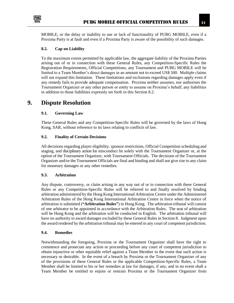

MOBILE, or the delay or inability to use or lack of functionality of PUBG MOBILE, even if a Proxima Party is at fault and even if a Proxima Party is aware of the possibility of such damages.

### <span id="page-21-0"></span>**8.2. Cap on Liability**

To the maximum extent permitted by applicable law, the aggregate liability of the Proxima Parties arising out of or in connection with these General Rules, any Competition-Specific Rules the Registration Requirements, Official Competitions, any Tournament and PUBG MOBILE will be limited to a Team Member's direct damages in an amount not to exceed US\$ 500. Multiple claims will not expand this limitation. These limitations and exclusions regarding damages apply even if any remedy fails to provide adequate compensation. Proxima neither assumes, nor authorizes the Tournament Organizer or any other person or entity to assume on Proxima's behalf, any liabilities in addition to those liabilities expressly set forth in this Section 8.2.

### <span id="page-21-2"></span><span id="page-21-1"></span>**9. Dispute Resolution**

### **9.1. Governing Law**

These General Rules and any Competition-Specific Rules will be governed by the laws of Hong Kong, SAR, without reference to its laws relating to conflicts of law.

### <span id="page-21-3"></span>**9.2. Finality of Certain Decisions**

All decisions regarding player eligibility, sponsor restrictions, Official Competition scheduling and staging, and disciplinary action for misconduct lie solely with the Tournament Organizer or, at the option of the Tournament Organizer, with Tournament Officials. The decisions of the Tournament Organizer and/or the Tournament Officials are final and binding and shall not give rise to any claim for monetary damages or any other remedies.

### <span id="page-21-4"></span>**9.3. Arbitration**

Any dispute, controversy, or claim arising in any way out of or in connection with these General Rules or any Competition-Specific Rules will be referred to and finally resolved by binding arbitration administered by the Hong Kong International Arbitration Centre under the Administered Arbitration Rules of the Hong Kong International Arbitration Centre in force when the notice of arbitration is submitted (**"Arbitration Rules"**) in Hong Kong. The arbitration tribunal will consist of one arbitrator to be appointed in accordance with the Arbitration Rules. The seat of arbitration will be Hong Kong and the arbitration will be conducted in English. The arbitration tribunal will have no authority to award damages excluded by these General Rules in Section 8. Judgment upon the award rendered by the arbitration tribunal may be entered in any court of competent jurisdiction.

#### <span id="page-21-5"></span>**9.4. Remedies**

Notwithstanding the foregoing, Proxima or the Tournament Organizer shall have the right to commence and prosecute any action or proceeding before any court of competent jurisdiction to obtain injunctive or other equitable relief against a Team Member in the event that such action is necessary or desirable. In the event of a breach by Proxima or the Tournament Organizer of any of the provisions of these General Rules or the applicable Competition-Specific Rules, a Team Member shall be limited to his or her remedies at law for damages, if any, and in no event shall a Team Member be entitled to enjoin or restrain Proxima or the Tournament Organizer from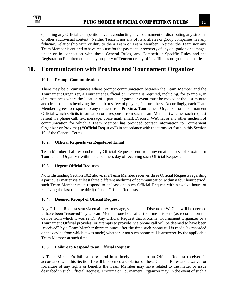

operating any Official Competition event, conducting any Tournament or distributing any streams or other audiovisual content. Neither Tencent nor any of its affiliates or group companies has any fiduciary relationship with or duty to the a Team or Team Member. Neither the Team nor any Team Member is entitled to have recourse for the payment or recovery of any obligation or damages under or in connection with these General Rules, any Competition-Specific Rules and the Registration Requirements to any property of Tencent or any of its affiliates or group companies.

# <span id="page-22-1"></span><span id="page-22-0"></span>**10. Communication with Proxima and Tournament Organizer**

### **10.1. Prompt Communication**

There may be circumstances where prompt communication between the Team Member and the Tournament Organizer, a Tournament Official or Proxima is required, including, for example, in circumstances where the location of a particular game or event must be moved at the last minute and circumstances involving the health or safety of players, fans or others. Accordingly, each Team Member agrees to respond to any request from Proxima, Tournament Organizer or a Tournament Official which solicits information or a response from such Team Member (whether such request is sent via phone call, text message, voice mail, email, Discord, WeChat or any other medium of communication for which a Team Member has provided contact information to Tournament Organizer or Proxima) (**"Official Requests"**) in accordance with the terms set forth in this Section 10 of the General Terms.

### <span id="page-22-2"></span>**10.2. Official Requests via Registered Email**

Team Member shall respond to any Official Requests sent from any email address of Proxima or Tournament Organizer within one business day of receiving such Official Request.

### <span id="page-22-3"></span>**10.3. Urgent Official Requests**

Notwithstanding Section 10.2 above, if a Team Member receives three Official Requests regarding a particular matter via at least three different mediums of communication within a four hour period, such Team Member must respond to at least one such Official Request within twelve hours of receiving the last (i.e. the third) of such Official Requests.

### <span id="page-22-4"></span>**10.4. Deemed Receipt of Official Request**

Any Official Request sent via email, text message, voice mail, Discord or WeChat will be deemed to have been "received" by a Team Member one hour after the time it is sent (as recorded on the device from which it was sent). Any Official Request that Proxima, Tournament Organizer or a Tournament Official provides (or attempts to provide) via phone call will be deemed to have been "received" by a Team Member thirty minutes after the time such phone call is made (as recorded on the device from which it was made) whether or not such phone call is answered by the applicable Team Member at such time.

### <span id="page-22-5"></span>**10.5. Failure to Respond to an Official Request**

A Team Member's failure to respond in a timely manner to an Official Request received in accordance with this Section 10 will be deemed a violation of these General Rules and a waiver or forfeiture of any rights or benefits the Team Member may have related to the matter or issue described in such Official Request. Proxima or Tournament Organizer may, in the event of such a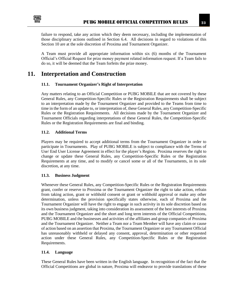

failure to respond, take any action which they deem necessary, including the implementation of those disciplinary actions outlined in Section 6.4. All decisions in regard to violations of this Section 10 are at the sole discretion of Proxima and Tournament Organizer.

A Team must provide all appropriate information within six (6) months of the Tournament Official's Official Request for prize money payment related information request. If a Team fails to do so, it will be deemed that the Team forfeits the prize money.

### <span id="page-23-1"></span><span id="page-23-0"></span>**11. Interpretation and Construction**

### **11.1. Tournament Organizer's Right of Interpretation**

Any matters relating to an Official Competition or PUBG MOBILE that are not covered by these General Rules, any Competition-Specific Rules or the Registration Requirements shall be subject to an interpretation made by the Tournament Organizer and provided to the Teams from time to time in the form of an update to, or interpretation of, these General Rules, any Competition-Specific Rules or the Registration Requirements. All decisions made by the Tournament Organizer and Tournament Officials regarding interpretations of these General Rules, the Competition-Specific Rules or the Registration Requirements are final and binding.

### <span id="page-23-2"></span>**11.2. Additional Terms**

Players may be required to accept additional terms from the Tournament Organizer in order to participate in Tournaments. Play of PUBG MOBILE is subject to compliance with the Terms of Use/ End User License Agreement in effect for the player's Region. Proxima reserves the right to change or update these General Rules, any Competition-Specific Rules or the Registration Requirements at any time, and to modify or cancel some or all of the Tournaments, in its sole discretion, at any time.

### <span id="page-23-3"></span>**11.3. Business Judgment**

Whenever these General Rules, any Competition-Specific Rules or the Registration Requirements grant, confer or reserve to Proxima or the Tournament Organizer the right to take action, refrain from taking action, grant or withhold consent or grant or withhold approval or make any other determination, unless the provision specifically states otherwise, each of Proxima and the Tournament Organizer will have the right to engage in such activity in its sole discretion based on its own business judgment, taking into consideration its assessment of the best interests of Proxima and the Tournament Organizer and the short and long term interests of the Official Competitions, PUBG MOBILE and the businesses and activities of the affiliates and group companies of Proxima and the Tournament Organizer. Neither a Team nor a Team Member will have any claim or cause of action based on an assertion that Proxima, the Tournament Organizer or any Tournament Official has unreasonably withheld or delayed any consent, approval, determination or other requested action under these General Rules, any Competition-Specific Rules or the Registration Requirements.

### <span id="page-23-4"></span>**11.4. Language**

These General Rules have been written in the English language. In recognition of the fact that the Official Competitions are global in nature, Proxima will endeavor to provide translations of these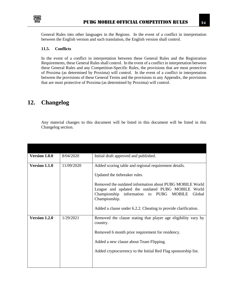

General Rules into other languages in the Regions. In the event of a conflict in interpretation between the English version and such translation, the English version shall control.

### <span id="page-24-0"></span>**11.5. Conflicts**

In the event of a conflict in interpretation between these General Rules and the Registration Requirements, these General Rules shall control. In the event of a conflict in interpretation between these General Rules and any Competition-Specific Rules, the provisions that are most protective of Proxima (as determined by Proxima) will control. In the event of a conflict in interpretation between the provisions of these General Terms and the provisions in any Appendix, the provisions that are most protective of Proxima (as determined by Proxima) will control.

# <span id="page-24-1"></span>**12. Changelog**

Any material changes to this document will be listed in this document will be listed in this Changelog section.

| Version 1.0.0 | 8/04/2020  | Initial draft approved and published.                                                                                                                                                                                                                                                                                                           |
|---------------|------------|-------------------------------------------------------------------------------------------------------------------------------------------------------------------------------------------------------------------------------------------------------------------------------------------------------------------------------------------------|
| Version 1.1.0 | 11/09/2020 | Added scoring table and regional requirement details.<br>Updated the tiebreaker rules.<br>Removed the outdated information about PUBG MOBILE World<br>League and updated the outdated PUBG MOBILE World<br>Championship information to PUBG MOBILE<br>Global<br>Championship.<br>Added a clause under 6.2.2. Cheating to provide clarification. |
| Version 1.2.0 | 1/29/2021  | Removed the clause stating that player age eligibility vary by<br>country.<br>Removed 6 month prior requirement for residency.<br>Added a new clause about Team Flipping.<br>Added cryptocurrency to the Initial Red Flag sponsorship list.                                                                                                     |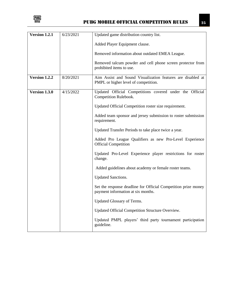

| Version 1.2.1 | 6/23/2021 | Updated game distribution country list.                                                              |
|---------------|-----------|------------------------------------------------------------------------------------------------------|
|               |           | Added Player Equipment clause.                                                                       |
|               |           | Removed information about outdated EMEA League.                                                      |
|               |           | Removed talcum powder and cell phone screen protector from<br>prohibited items to use.               |
| Version 1.2.2 | 8/20/2021 | Aim Assist and Sound Visualization features are disabled at<br>PMPL or higher level of competition.  |
| Version 1.3.0 | 4/15/2022 | Updated Official Competitions covered under the Official<br>Competition Rulebook.                    |
|               |           | Updated Official Competition roster size requirement.                                                |
|               |           | Added team sponsor and jersey submission to roster submission<br>requirement.                        |
|               |           | Updated Transfer Periods to take place twice a year.                                                 |
|               |           | Added Pro League Qualifiers as new Pro-Level Experience<br><b>Official Competition</b>               |
|               |           | Updated Pro-Level Experience player restrictions for roster<br>change.                               |
|               |           | Added guidelines about academy or female roster teams.                                               |
|               |           | <b>Updated Sanctions.</b>                                                                            |
|               |           | Set the response deadline for Official Competition prize money<br>payment information at six months. |
|               |           | Updated Glossary of Terms.                                                                           |
|               |           | Updated Official Competition Structure Overview.                                                     |
|               |           | Updated PMPL players' third party tournament participation<br>guideline.                             |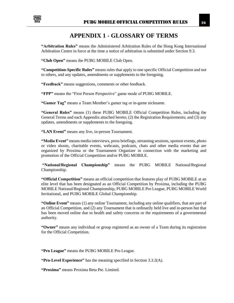<span id="page-26-0"></span>

# **APPENDIX 1 - GLOSSARY OF TERMS**

**"Arbitration Rules"** means the Administered Arbitration Rules of the Hong Kong International Arbitration Centre in force at the time a notice of arbitration is submitted under Section 9.3.

**"Club Open"** means the PUBG MOBILE Club Open.

**"Competition-Specific Rules"** means rules that apply to one specific Official Competition and not to others, and any updates, amendments or supplements to the foregoing.

**"Feedback"** means suggestions, comments or other feedback.

**"FPP"** means the "First Person Perspective" game mode of PUBG MOBILE.

**"Gamer Tag"** means a Team Member's gamer tag or in-game nickname.

**"General Rules"** means (1) these PUBG MOBILE Official Competition Rules, including the General Terms and each Appendix attached hereto; (2) the Registration Requirements; and (3) any updates, amendments or supplements to the foregoing.

**"LAN Event"** means any live, in-person Tournament.

**"Media Event"** means media interviews, press briefings, streaming sessions, sponsor events, photo or video shoots, charitable events, webcasts, podcasts, chats and other media events that are organized by Proxima or the Tournament Organizer in connection with the marketing and promotion of the Official Competition and/or PUBG MOBILE.

**"National/Regional Championship"** means the PUBG MOBILE National/Regional Championship.

**"Official Competition"** means an official competition that features play of PUBG MOBILE at an elite level that has been designated as an Official Competition by Proxima, including the PUBG MOBILE National/Regional Championship, PUBG MOBILE Pro League, PUBG MOBILE World Invitational, and PUBG MOBILE Global Championship.

**"Online Event"** means (1) any online Tournament, including any online qualifiers, that are part of an Official Competition, and (2) any Tournament that is ordinarily held live and in-person but that has been moved online due to health and safety concerns or the requirements of a governmental authority.

**"Owner"** means any individual or group registered as an owner of a Team during its registration for the Official Competition.

**"Pro League"** means the PUBG MOBILE Pro League.

**"Pro-Level Experience"** has the meaning specified in Section 3.3.2(A).

**"Proxima"** means Proxima Beta Pte. Limited.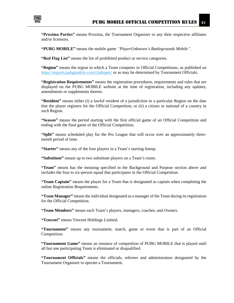

**"Proxima Parties"** means Proxima, the Tournament Organizer or any their respective affiliates and/or licensors.

**"PUBG MOBILE"** means the mobile game *"PlayerUnknown's Battlegrounds Mobile"*.

**"Red Flag List"** means the list of prohibited product or service categories.

**"Region"** means the region in which a Team competes in Official Competitions, as published on <https://esports.pubgmobile.com/clubopen/> or as may be determined by Tournament Officials.

**"Registration Requirements"** means the registration procedures, requirements and rules that are displayed on the PUBG MOBILE website at the time of registration, including any updates, amendments or supplements thereto.

**"Resident"** means either (i) a lawful resident of a jurisdiction in a particular Region on the date that the player registers for the Official Competition, or (ii) a citizen or national of a country in such Region.

**"Season"** means the period starting with the first official game of an Official Competition and ending with the final game of the Official Competition.

**"Split"** means scheduled play for the Pro League that will occur over an approximately threemonth period of time.

**"Starter"** means any of the four players in a Team's starting lineup.

**"Substitute"** means up to two substitute players on a Team's roster.

**"Team"** means has the meaning specified in the Background and Purpose section above and includes the four to six-person squad that participates in the Official Competition.

**"Team Captain"** means the player for a Team that is designated as captain when completing the online Registration Requirements.

**"Team Manager"** means the individual designated as a manager of the Team during its registration for the Official Competition.

**"Team Members"** means each Team's players, managers, coaches, and Owners.

**"Tencent"** means Tencent Holdings Limited.

**"Tournament"** means any tournament, match, game or event that is part of an Official Competition.

**"Tournament Game"** means an instance of competition of PUBG MOBILE that is played until all but one participating Team is eliminated or disqualified.

**"Tournament Officials"** means the officials, referees and administrators designated by the Tournament Organizer to operate a Tournament.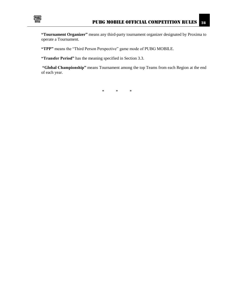

**"Tournament Organizer"** means any third-party tournament organizer designated by Proxima to operate a Tournament.

**"TPP"** means the "Third Person Perspective" game mode of PUBG MOBILE.

**"Transfer Period"** has the meaning specified in Section 3.3.

**"Global Championship"** means Tournament among the top Teams from each Region at the end of each year.

\* \* \*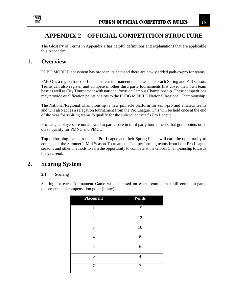

### <span id="page-29-0"></span>**APPENDIX 2 – OFFICIAL COMPETITION STRUCTURE**

The Glossary of Terms in Appendix 1 has helpful definitions and explanations that are applicable this Appendix.

# <span id="page-29-1"></span>**1. Overview**

PUBG MOBILE ecosystem has broaden its path and there are newly added path-to-pro for teams.

PMCO is a region based official amateur tournament that takes place each Spring and Fall season. Teams can also register and compete in other third party tournaments that cover their own team base as well as City Tournament with national focus or Campus Championship. These competitions may provide qualification points or slots to the PUBG MOBILE National/Regional Championship.

The National/Regional Championship is new pinnacle platform for semi-pro and amateur teams and will also act as a relegation tournament from the Pro League. This will be held once at the end of the year for aspiring teams to qualify for the subsequent year's Pro League.

Pro League players are not allowed to participate in third party tournaments that grant points or sl ots to qualify for PMNC and PMCO.

Top performing teams from each Pro League and their Spring Finals will earn the opportunity to compete at the Summer's Mid Season Tournament. Top performing teams from both Pro League seasons and other methods to earn the opportunity to compete at the Global Championship towards the year-end.

### <span id="page-29-3"></span><span id="page-29-2"></span>**2. Scoring System**

### **2.1. Scoring**

Scoring for each Tournament Game will be based on each Team's final kill count, in-game placement, and compensation point (if any).

| <b>Placement</b> | <b>Points</b>  |
|------------------|----------------|
| 1                | 15             |
| $\overline{2}$   | 12             |
| 3                | 10             |
| $\overline{4}$   | 8              |
| 5                | 6              |
| 6                | $\overline{4}$ |
| 7                | $\overline{2}$ |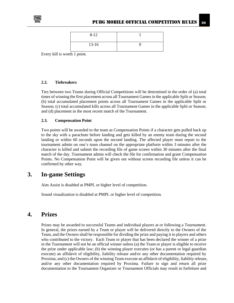

| $8 - 12$ |  |
|----------|--|
| $13-16$  |  |

Every kill is worth 1 point.

### <span id="page-30-0"></span>**2.2. Tiebreakers**

Ties between two Teams during Official Competitions will be determined in the order of (a) total times of winning the first placement across all Tournament Games in the applicable Split or Season; (b) total accumulated placement points across all Tournament Games in the applicable Split or Season; (c) total accumulated kills across all Tournament Games in the applicable Split or Season; and (d) placement in the most recent match of the Tournament.

### <span id="page-30-1"></span>**2.3. Compensation Point**

Two points will be awarded to the team as Compensation Points if a character gets pulled back up to the sky with a parachute before landing and gets killed by an enemy team during the second landing or within 60 seconds upon the second landing. The affected player must report to the tournament admin on one's team channel on the appropriate platform within 3 minutes after the character is killed and submit the recording file of game screen within 30 minutes after the final match of the day. Tournament admin will check the file for confirmation and grant Compensation Points. No Compensation Point will be given out without screen recording file unless it can be confirmed by other way.

### <span id="page-30-2"></span>**3. In-game Settings**

Aim Assist is disabled at PMPL or higher level of competition.

Sound visualization is disabled at PMPL or higher level of competition.

### <span id="page-30-3"></span>**4. Prizes**

Prizes may be awarded to successful Teams and individual players at or following a Tournament. In general, the prizes earned by a Team or player will be delivered directly to the Owners of the Team, and the Owners shall be responsible for dividing the prize and paying it to players and others who contributed to the victory. Each Team or player that has been declared the winner of a prize in the Tournament will not be an official winner unless (a) the Team or player is eligible to receive the prize under applicable law; (b) the winning player executes (or has a parent or legal guardian execute) an affidavit of eligibility, liability release and/or any other documentation required by Proxima; and (c) the Owners of the winning Team execute an affidavit of eligibility, liability release, and/or any other documentation required by Proxima. Failure to sign and return all prize documentation to the Tournament Organizer or Tournament Officials may result in forfeiture and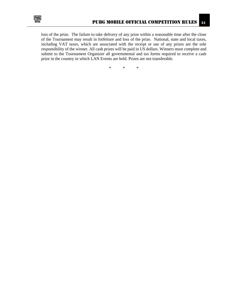

loss of the prize. The failure to take delivery of any prize within a reasonable time after the close of the Tournament may result in forfeiture and loss of the prize. National, state and local taxes, including VAT taxes, which are associated with the receipt or use of any prizes are the sole responsibility of the winner. All cash prizes will be paid in US dollars. Winners must complete and submit to the Tournament Organizer all governmental and tax forms required to receive a cash prize in the country in which LAN Events are held. Prizes are not transferable.

\* \* \*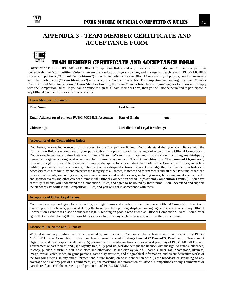

# <span id="page-32-0"></span>**APPENDIX 3 - TEAM MEMBER CERTIFICATE AND ACCEPTANCE FORM**



### TEAM MEMBER CERTIFICATE AND ACCEPTANCE FORM

 **Instructions:** The PUBG MOBILE Official Competition Rules, and any rules specific to individual Official Competitions (collectively, the **"Competition Rules"**), govern the conduct of players, coaches, and managers of each team in PUBG MOBILE official competitions (**"Official Competitions"**). In order to participate in an Official Competition, all players, coaches, managers and other participants (**"Team Members"**) must accept the Competition Rules. By completing and signing this Team Member Certificate and Acceptance Form (**"Team Member Form"**), the Team Member listed below (**"you"**) agrees to follow and comply with the Competition Rules. If you fail or refuse to sign this Team Member Form, then you will not be permitted to participate in any Official Competitions or any related events.

| <b>Team Member Information:</b>                   |                                         |      |  |
|---------------------------------------------------|-----------------------------------------|------|--|
| <b>First Name:</b>                                | <b>Last Name:</b>                       |      |  |
| Email Address (used on your PUBG MOBILE Account): | Date of Birth:                          | Age: |  |
| Citizenship:                                      | <b>Jurisdiction of Legal Residency:</b> |      |  |

#### **Acceptance of the Competition Rules:**

You hereby acknowledge receipt of, or access to, the Competition Rules. You understand that your compliance with the Competition Rules is a condition of your participation as a player, coach, or manager of a team in any Official Competition. You acknowledge that Proxima Beta Pte. Limited (**"Proxima"**) and its affiliates and subcontractors (including any third-party tournament organizer designated or retained by Proxima to operate an Official Competition (the **"Tournament Organizer"**) reserve the right in their sole discretion to impose discipline for any conduct that violates the Competition Rules, including public reprimands, fines, suspensions, debarment and/or disqualifications. You acknowledge that the Competition Rules are necessary to ensure fair play and preserve the integrity of all games, matches and tournaments and all other Proxima-organized promotional events, marketing events, streaming sessions and related events, including meals, fan engagement events, media and sponsor events and other calendar items in the Official Competition schedule (**"Official Competition Events"**). You have carefully read and you understand the Competition Rules, and agree to be bound by their terms. You understand and support the standards set forth in the Competition Rules, and you will act in accordance with them.

#### **Acceptance of Other Legal Terms:**

You hereby accept and agree to be bound by, any legal terms and conditions that relate to an Official Competition Event and that are printed on tickets, presented during the ticket purchase process, displayed on signage at the venue where any Official Competition Event takes place or otherwise legally binding on people who attend an Official Competition Event. You further agree that you shall be legally responsible for any violation of any such terms and conditions that you commit.

#### **License to Use Name and Likeness:**

Without in any way limiting the licenses granted by you pursuant to Section 7 (Use of Names and Likenesses) of the PUBG MOBILE Official Competition Rules, you hereby grant Tencent Holdings Limited (**"Tencent"**), Proxima, the Tournament Organizer, and their respective affiliates (A) permission to live-stream, broadcast or record your play of PUBG MOBILE at any Tournament or part thereof, and (B) a royalty-free, fully paid-up, worldwide right and license (with the right to grant sublicenses) to copy, publish, distribute, edit, host, store and otherwise use and display your full name, Gamer Tag, photograph, likeness, image, avatar, voice, video, in-game persona, game play statistics, and biographical information, and create derivative works of the foregoing items, in any and all present and future media, on or in connection with (i) the broadcast or streaming of any coverage of all or any part of a Tournament; (ii) the marketing and promotion of Official Competitions or any Tournament or part thereof; and (iii) the marketing and promotion of PUBG MOBILE.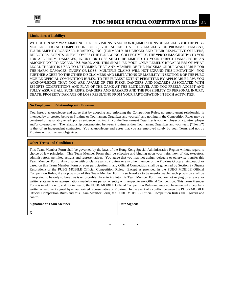

#### **Limitations of Liability:**

WITHOUT IN ANY WAY LIMITING THE PROVISIONS IN SECTION 8 (LIMITATIONS OF LIABILITY) OF THE PUBG MOBILE OFFICIAL COMPETITION RULES, YOU AGREE THAT THE LIABILITY OF PROXIMA, TENCENT, TOURNAMENT ORGANIZER, KRAFTON, INC. (FORMERLY BLUEHOLE) AND THEIR RESPECTIVE OFFICERS, DIRECTORS, AGENTS OR EMPLOYEES (THE FOREGOING, COLLECTIVELY, THE **"PROXIMA GROUP"**) TO YOU FOR ALL HARM, DAMAGES, INJURY OR LOSS SHALL BE LIMITED TO YOUR DIRECT DAMAGES IN AN AMOUNT NOT TO EXCEED US\$ 500.00, AND THIS SHALL BE YOUR ONLY REMEDY REGARDLESS OF WHAT LEGAL THEORY IS USED TO DETERMINE THAT ANY MEMBER OF THE PROXIMA GROUP WAS LIABLE FOR THE HARM, DAMAGES, INJURY OR LOSS. MULTIPLE CLAIMS WILL NOT EXPAND THIS LIMITATION. YOU FURTHER AGREE TO THE OTHER DISCLAIMERS AND LIMITATIONS OF LIABILITY IN SECTION 8 OF THE PUBG MOBILE OFFICIAL COMPETITION RULES. TO THE FULLEST EXTENT PERMITTED BY APPLICABLE LAW, YOU ACKNOWLEDGE THAT YOU ARE AWARE OF THE RISKS, DANGERS AND HAZARDS ASSOCIATED WITH ESPORTS COMPETITIONS AND PLAY OF THE GAME AT THE ELITE LEVEL AND YOU FREELY ACCEPT AND FULLY ASSUME ALL SUCH RISKS, DANGERS AND HAZARDS AND THE POSSIBILITY OF PERSONAL INJURY, DEATH, PROPERTY DAMAGE OR LOSS RESULTING FROM YOUR PARTICIPATION IN SUCH ACTIVITIES.

#### **No Employment Relationship with Proxima:**

You hereby acknowledge and agree that by adopting and enforcing the Competition Rules, no employment relationship is intended by or created between Proxima or Tournament Organizer and yourself, and nothing in the Competition Rules may be construed or reasonably relied upon as evidence that Proxima or the Tournament Organizer is your employer or a joint-employer and/or co-employer. The relationship contemplated between Proxima and/or Tournament Organizer and your team (**"Team"**) is that of an independent contractor. You acknowledge and agree that you are employed solely by your Team, and not by Proxima or Tournament Organizer.

#### **Other Terms and Conditions:**

This Team Member Form shall be governed by the laws of the Hong Kong Special Administrative Region without regard to choice of law principles. This Team Member Form shall be effective and binding upon your heirs, next of kin, executors, administrators, permited assigns and representatives. You agree that you may not assign, delegate or otherwise transfer this Team Member Form. Any dispute with or claim against Proxima or any other member of the Proxima Group arising out of or based on this Team Member Form or your participation in any Official Competition shall be governed by Section 9 (Dispute Resolution) of the PUBG MOBILE Official Competition Rules. Except as provided in the PUBG MOBILE Official Competition Rules, if any provision of this Team Member Form is so broad as to be unenforceable, such provision shall be interpreted to be only so broad as is enforceable. In entering into this Team Member Form you are not relying on any oral or written statements or representations made by any person or entity with respect to any Official Competition. This Team Member Form is in addition to, and not in lieu of, the PUBG MOBILE Official Competition Rules and may not be amended except by a written amendment signed by an authorized representative of Proxima. In the event of a conflict between the PUBG MOBILE Official Competition Rules and this Team Member Form, the PUBG MOBILE Official Competition Rules shall govern and control.

| <b>Signature of Team Member:</b> | Date Signed: |
|----------------------------------|--------------|
| $\Lambda$                        |              |

\* \* \*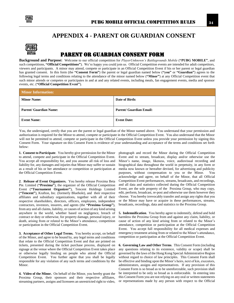

### **APPENDIX 4 - PARENT OR GUARDIAN CONSENT**

<span id="page-34-0"></span>

### PARENT OR GUARDIAN CONSENT FORM

**Background and Purpose:** Welcome to our official competition for *PlayerUnknown's Battlegrounds Mobile* (**"PUBG MOBILE"**, and such competitions, **"Official Competitions"**). We're happy you could join us. Official Competition events are intended for adult competitors, viewers and participants. A minor may attend, compete or participate in an Official Competition Event if his or her parent or legal guardian has granted consent. In this form (the **"Consent Form"**) the parent or legal guardian named below (**"you"** or **"Guardian"**) agrees to the following legal terms and conditions relating to the attendance of the minor named below (**"Minor"**) at any Official Competition event that such minor attends or competes or participates in and at and any related events, including meals, fan engagement events, media and sponsor events, etc. (**"Official Competition Event"**).

| <b>Minor Information:</b>     |                                |  |
|-------------------------------|--------------------------------|--|
| <b>Minor Name:</b>            | Date of Birth:                 |  |
| <b>Parent/ Guardian Name:</b> | <b>Parent/ Guardian Email:</b> |  |
| <b>Event Name:</b>            | <b>Event Date:</b>             |  |

You, the undersigned, certify that you are the parent or legal guardian of the Minor named above. You understand that your permission and authorization is required for the Minor to attend, compete or participate in the Official Competition Event. You also understand that the Minor will not be permitted to attend, compete or participate in the Official Competition Event unless you provide your permission by signing this Consent Form. Your signature on this Consent Form is evidence of your understanding and acceptance of the terms and conditions set forth below:

**1. Consent to Participate**. You hereby give permission for the Minor to attend, compete and participate in the Official Competition Event. You accept all responsibility for, and you assume all risk of loss and liability for, any damages and injuries that Minor may suffer or sustain as a result of his or her attendance or competition or participation at the Official Competition Event.

**2**. **Release of Event Organizers.** You hereby release Proxima Beta Pte. Limited (**"Proxima"**), the organizer of the Official Competition Event (**"Tournament Organizer"**), Tencent Holdings Limited (**"Tencent"**), Krafton, Inc. (formerly Bluehole), and their respective affiliates and subsidiary organizations, together with all of their respective shareholders, directors, officers, employees, independent contractors, investors, insurers, and agents (the **"Proxima Group"**), from any and all claims, liability, or causes of action of any kind arising anywhere in the world, whether based on negligence, breach of contract or duty or otherwise, for property damage, personal injury, or death, arising from or related to the Minor's attendance, competition or participation in the Official Competition Event.

**3. Acceptance of Other Legal Terms.** You hereby accept, on behalf of the Minor, and agree to be bound by, any legal terms and conditions that relate to the Official Competition Event and that are printed on tickets, presented during the ticket purchase process, displayed on signage at the venue where the Official Competition Event takes place or otherwise legally binding on people who attend the Official Competition Event. You further agree that you shall be legally responsible for any violation of any such terms and conditions by the Minor.

**4. Video of the Minor.** On behalf of the Minor, you hereby grant the Proxima Group, their sponsors and their respective affiliates, streaming partners, assigns and licensees an unrestricted right to video, photograph and record the Minor during the Official Competition Event and to stream, broadcast, display and/or otherwise use the Minor's name, image, likeness, voice, audiovisual recording and biographical data throughout the world in perpetuity, in any form or media now known or hereafter devised, for advertising and publicity purposes, without compensation to you or the Minor. You acknowledge and agree, on behalf of the Minor, that all Official Competition Event performances, streams, broadcasts, and recordings, and all data and statistics collected during the Official Competition Event, are the sole property of the Proxima Group, who may copy, edit, perform, broadcast, re-post and otherwise use them however they choose. You hereby irrevocably transfer and assign any rights that you or the Minor may have or acquire in these performances, streams, broadcasts, recordings, data and statistics to the Proxima Group.

**5. Indemnification**. You hereby agree to indemnify, defend and hold harmless the Proxima Group from and against any claim, liability, or cause of action of any kind arising from or related to the Minor's attendance, competition or participation at the Official Competition Event. You accept full responsibility for all medical expenses and emergency treatment arising from or related to the Minor's attendance, competition or participation at the Official Competition Event.

**6. Governing Law and Other Terms**. This Consent Form (including any questions relating to its existence, validity or scope) shall be governed by the laws of the Hong Kong Special Administrative Region without regard to choice of law principles. This Consent Form shall be effective and binding upon the Minor's heirs, next of kin, executors, administrators, assigns and representatives. If any provision of this Consent Form is so broad as to be unenforceable, such provision shall be interpreted to be only so broad as is enforceable. In entering into this Consent Form you are not relying on any oral or written statements or representations made by any person with respect to the Official